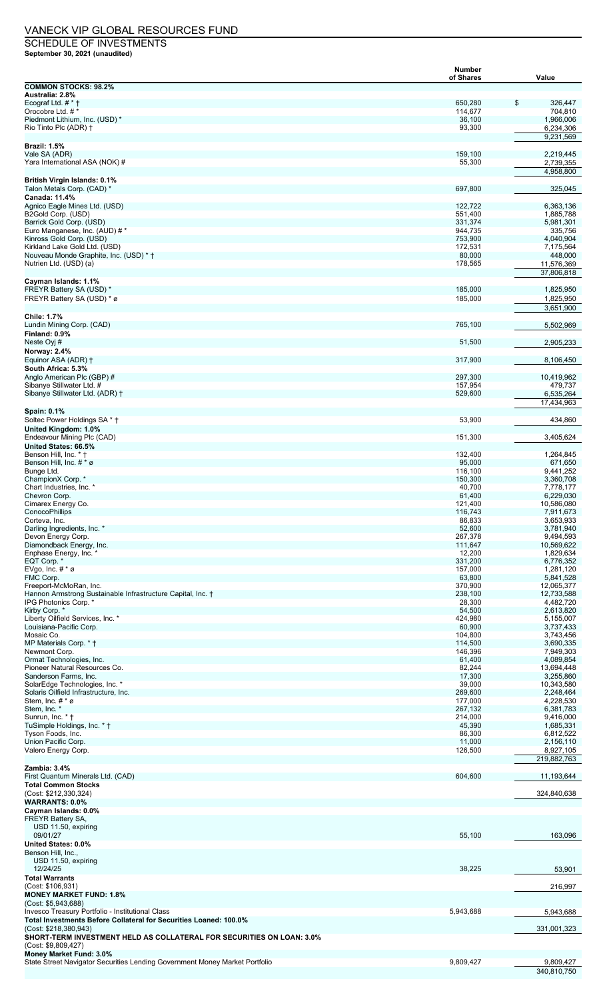## VANECK VIP GLOBAL RESOURCES FUND

SCHEDULE OF INVESTMENTS **September 30, 2021 (unaudited)**

|                                                                                                        | Number             |                          |
|--------------------------------------------------------------------------------------------------------|--------------------|--------------------------|
| <b>COMMON STOCKS: 98.2%</b>                                                                            | of Shares          | Value                    |
| Australia: 2.8%                                                                                        |                    |                          |
| Ecograf Ltd. # * †<br>Orocobre Ltd. # *                                                                | 650,280<br>114,677 | \$<br>326,447<br>704,810 |
| Piedmont Lithium, Inc. (USD) *                                                                         | 36,100             | 1,966,006                |
| Rio Tinto Plc (ADR) †                                                                                  | 93,300             | 6,234,306                |
| <b>Brazil: 1.5%</b>                                                                                    |                    | 9,231,569                |
| Vale SA (ADR)                                                                                          | 159,100            | 2,219,445                |
| Yara International ASA (NOK) #                                                                         | 55,300             | 2,739,355<br>4,958,800   |
| <b>British Virgin Islands: 0.1%</b>                                                                    |                    |                          |
| Talon Metals Corp. (CAD) *                                                                             | 697,800            | 325,045                  |
| Canada: 11.4%<br>Agnico Eagle Mines Ltd. (USD)                                                         | 122,722            | 6,363,136                |
| B2Gold Corp. (USD)                                                                                     | 551,400            | 1,885,788                |
| Barrick Gold Corp. (USD)                                                                               | 331,374            | 5,981,301                |
| Euro Manganese, Inc. (AUD) # *<br>Kinross Gold Corp. (USD)                                             | 944,735<br>753,900 | 335,756<br>4,040,904     |
| Kirkland Lake Gold Ltd. (USD)                                                                          | 172,531            | 7,175,564                |
| Nouveau Monde Graphite, Inc. (USD) * †<br>Nutrien Ltd. (USD) (a)                                       | 80,000<br>178,565  | 448,000<br>11,576,369    |
|                                                                                                        |                    | 37,806,818               |
| Cayman Islands: 1.1%                                                                                   |                    |                          |
| FREYR Battery SA (USD) *                                                                               | 185,000            | 1,825,950                |
| FREYR Battery SA (USD) * ø                                                                             | 185,000            | 1,825,950<br>3,651,900   |
| <b>Chile: 1.7%</b>                                                                                     |                    |                          |
| Lundin Mining Corp. (CAD)                                                                              | 765,100            | 5,502,969                |
| Finland: 0.9%<br>Neste Oyj #                                                                           | 51,500             | 2,905,233                |
| Norway: 2.4%                                                                                           |                    |                          |
| Equinor ASA (ADR) †                                                                                    | 317,900            | 8,106,450                |
| South Africa: 5.3%<br>Anglo American Plc (GBP) #                                                       | 297,300            | 10,419,962               |
| Sibanye Stillwater Ltd. #                                                                              | 157,954            | 479,737                  |
| Sibanye Stillwater Ltd. (ADR) †                                                                        | 529,600            | 6,535,264                |
|                                                                                                        |                    | 17,434,963               |
| Spain: 0.1%<br>Soltec Power Holdings SA * †                                                            | 53,900             | 434,860                  |
| United Kingdom: 1.0%                                                                                   |                    |                          |
| Endeavour Mining Plc (CAD)                                                                             | 151,300            | 3,405,624                |
| United States: 66.5%<br>Benson Hill, Inc. * †                                                          | 132,400            | 1,264,845                |
| Benson Hill, Inc. $# * \varnothing$                                                                    | 95,000             | 671,650                  |
| Bunge Ltd.<br>ChampionX Corp. *                                                                        | 116,100<br>150,300 | 9,441,252<br>3,360,708   |
| Chart Industries, Inc. *                                                                               | 40,700             | 7,778,177                |
| Chevron Corp.                                                                                          | 61,400             | 6,229,030                |
| Cimarex Energy Co.<br>ConocoPhillips                                                                   | 121,400<br>116,743 | 10,586,080<br>7,911,673  |
| Corteva, Inc.                                                                                          | 86,833             | 3,653,933                |
| Darling Ingredients, Inc. *                                                                            | 52,600             | 3,781,940                |
| Devon Energy Corp.<br>Diamondback Energy, Inc.                                                         | 267,378<br>111,647 | 9,494,593<br>10,569,622  |
| Enphase Energy, Inc. *                                                                                 | 12,200             | 1,829,634                |
| EQT Corp. *                                                                                            | 331,200            | 6,776,352                |
| EVgo, Inc. $# * \varnothing$<br>FMC Corp.                                                              | 157,000<br>63,800  | 1,281,120<br>5,841,528   |
| Freeport-McMoRan, Inc.                                                                                 | 370,900            | 12,065,377               |
| Hannon Armstrong Sustainable Infrastructure Capital, Inc. †                                            | 238,100            | 12,733,588               |
| IPG Photonics Corp. *<br>Kirby Corp. *                                                                 | 28,300<br>54,500   | 4,482,720<br>2,613,820   |
| Liberty Oilfield Services, Inc. *                                                                      | 424,980            | 5,155,007                |
| Louisiana-Pacific Corp.<br>Mosaic Co.                                                                  | 60,900             | 3,737,433                |
| MP Materials Corp. * †                                                                                 | 104,800<br>114,500 | 3,743,456<br>3,690,335   |
| Newmont Corp.                                                                                          | 146,396            | 7,949,303                |
| Ormat Technologies, Inc.<br>Pioneer Natural Resources Co.                                              | 61,400<br>82,244   | 4,089,854<br>13,694,448  |
| Sanderson Farms, Inc.                                                                                  | 17,300             | 3,255,860                |
| SolarEdge Technologies, Inc. *                                                                         | 39,000             | 10,343,580               |
| Solaris Oilfield Infrastructure, Inc.<br>Stem, Inc. # * ø                                              | 269,600<br>177,000 | 2,248,464<br>4,228,530   |
| Stem, Inc. *                                                                                           | 267,132            | 6,381,783                |
| Sunrun, Inc. * †                                                                                       | 214,000            | 9,416,000                |
| TuSimple Holdings, Inc. * †<br>Tyson Foods, Inc.                                                       | 45,390<br>86,300   | 1,685,331<br>6,812,522   |
| Union Pacific Corp.                                                                                    | 11,000             | 2,156,110                |
| Valero Energy Corp.                                                                                    | 126,500            | 8,927,105                |
| Zambia: 3.4%                                                                                           |                    | 219,882,763              |
| First Quantum Minerals Ltd. (CAD)                                                                      | 604,600            | 11,193,644               |
| <b>Total Common Stocks</b>                                                                             |                    | 324,840,638              |
| (Cost: \$212,330,324)<br><b>WARRANTS: 0.0%</b>                                                         |                    |                          |
| Cayman Islands: 0.0%                                                                                   |                    |                          |
| FREYR Battery SA,<br>USD 11.50, expiring                                                               |                    |                          |
| 09/01/27                                                                                               | 55,100             | 163,096                  |
| United States: 0.0%                                                                                    |                    |                          |
| Benson Hill, Inc.,                                                                                     |                    |                          |
| USD 11.50, expiring<br>12/24/25                                                                        | 38,225             | 53,901                   |
| <b>Total Warrants</b>                                                                                  |                    |                          |
| (Cost: \$106,931)                                                                                      |                    | 216,997                  |
| <b>MONEY MARKET FUND: 1.8%</b><br>(Cost: \$5,943,688)                                                  |                    |                          |
| Invesco Treasury Portfolio - Institutional Class                                                       | 5,943,688          | 5,943,688                |
| Total Investments Before Collateral for Securities Loaned: 100.0%                                      |                    |                          |
| (Cost: \$218,380,943)<br><b>SHORT-TERM INVESTMENT HELD AS COLLATERAL FOR SECURITIES ON LOAN: 3.0%</b>  |                    | 331,001,323              |
| (Cost: \$9,809,427)                                                                                    |                    |                          |
| Money Market Fund: 3.0%<br>State Street Navigator Securities Lending Government Money Market Portfolio | 9,809,427          | 9,809,427                |
|                                                                                                        |                    | 340,810,750              |